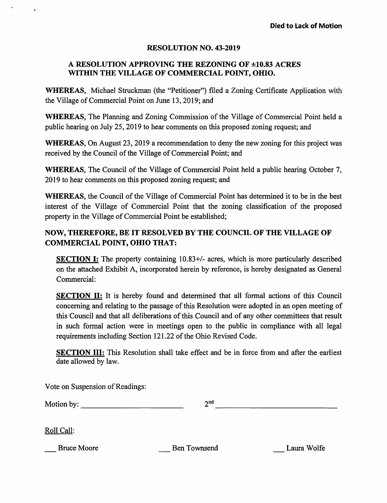## RESOLUTION NO. 43-2019

## A RESOLUTION APPROVING THE REZONING OF ±10.83 ACRES WITHIN THE VILLAGE OF COMMERCIAL POINT, OHIO.

WHEREAS, Michael Struckman (the "Petitioner") filed a Zoning Certificate Application with the Village of Commercial Point on June 13, 2019; and

WHEREAS, The Planning and Zoning Commission of the Village of Commercial Point held a public hearing on July 25, 2019 to hear comments on this proposed zoning request; and

WHEREAS, On August 23, 2019 a recommendation to deny the new zoning for this project was received by the Council of the Village of Commercial Point; and

WHEREAS, The Council of the Village of Commercial Point held a public hearing October 7, 2019 to hear comments on this proposed zoning request; and

WHEREAS, the Council of the Village of Commercial Point has determined it to be in the best interest of the Village of Commercial Point that the zoning classification of the proposed property in the Village of Commercial Point be established;

## NOW, THEREFORE, BE IT RESOLVED BY THE COUNCIL OF THE VILLAGE OF COMMERCIAL POINT, OHIO THAT:

SECTION I: The property containing 10.83+/- acres, which is more particularly described on the attached Exhibit A, incorporated herein by reference, is hereby designated as General Commercial:

SECTION H: It is hereby found and determined that all formal actions of this Council concerning and relating to the passage of this Resolution were adopted in an open meeting of this Council and that all deliberations of this Council and of any other committees that result in such formal action were in meetings open to the public in compliance with all legal requirements including Section 121.22 of the Ohio Revised Code.

SECTION HI: This Resolution shall take effect and be in force from and after the earliest date allowed by law.

Vote on Suspension of Readings:

| Motion by: |  |
|------------|--|
|            |  |

Roll Call:

Bruce Moore **Ben Townsend** Laura Wolfe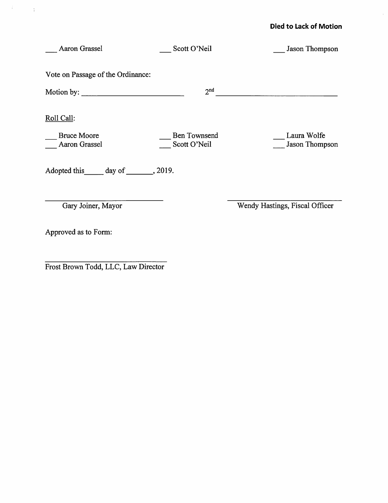## Died to Lack of Motion

| Aaron Grassel                       | Scott O'Neil                 | Jason Thompson                 |
|-------------------------------------|------------------------------|--------------------------------|
| Vote on Passage of the Ordinance:   |                              |                                |
| Motion by: $\frac{1}{2}$ Motion by: | 2 <sup>nd</sup>              |                                |
| Roll Call:                          |                              |                                |
| <b>Bruce Moore</b><br>Aaron Grassel | Ben Townsend<br>Scott O'Neil | Laura Wolfe<br>Jason Thompson  |
| Adopted this day of _______, 2019.  |                              |                                |
| Gary Joiner, Mayor                  |                              | Wendy Hastings, Fiscal Officer |
| Approved as to Form:                |                              |                                |

Frost Brown Todd, LLC, Law Director

 $\label{eq:2} \mathcal{L} = \mathcal{L} \left( \frac{1}{2} \sum_{i=1}^n \frac{1}{2} \sum_{j=1}^n \frac{1}{2} \sum_{j=1}^n \frac{1}{2} \sum_{j=1}^n \frac{1}{2} \sum_{j=1}^n \frac{1}{2} \sum_{j=1}^n \frac{1}{2} \sum_{j=1}^n \frac{1}{2} \sum_{j=1}^n \frac{1}{2} \sum_{j=1}^n \frac{1}{2} \sum_{j=1}^n \frac{1}{2} \sum_{j=1}^n \frac{1}{2} \sum_{j=1}^n \frac{1}{$